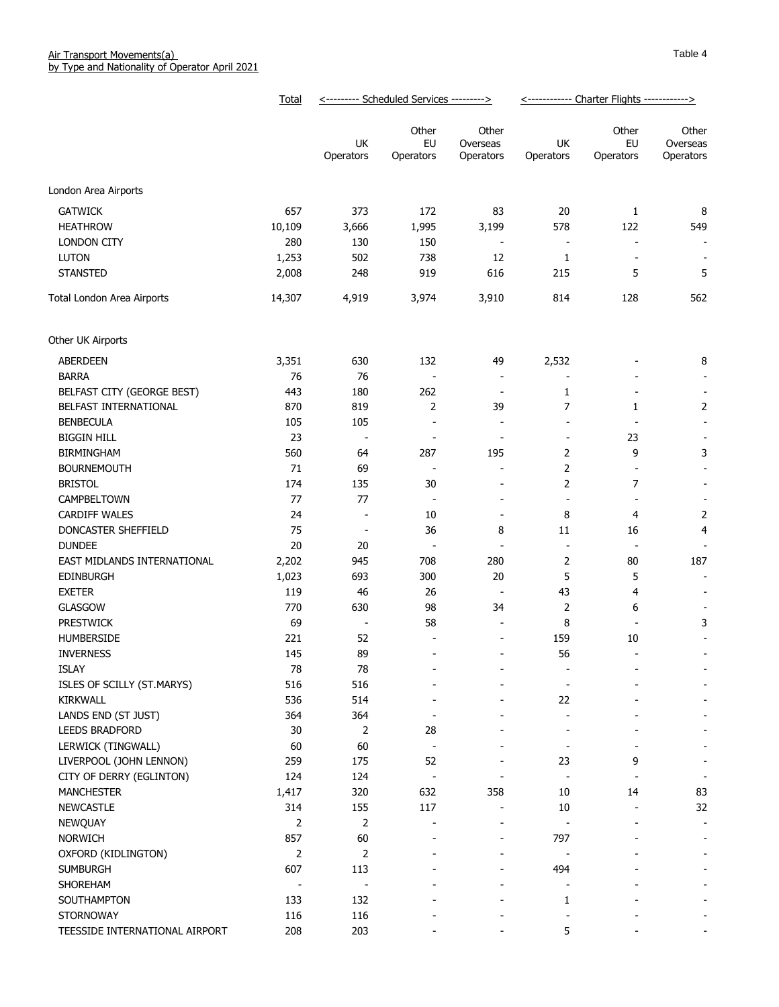|                                       | Total      |                          | <--------- Scheduled Services ---------> |                                | <------------ Charter Flights ------------> |                          |                                                      |  |  |
|---------------------------------------|------------|--------------------------|------------------------------------------|--------------------------------|---------------------------------------------|--------------------------|------------------------------------------------------|--|--|
|                                       |            | UK<br>Operators          | Other<br>EU<br>Operators                 | Other<br>Overseas<br>Operators | UK<br>Operators                             | Other<br>EU<br>Operators | Other<br>Overseas<br>Operators                       |  |  |
| London Area Airports                  |            |                          |                                          |                                |                                             |                          |                                                      |  |  |
| <b>GATWICK</b>                        | 657        | 373                      | 172                                      | 83                             | 20                                          | 1                        | 8                                                    |  |  |
| <b>HEATHROW</b>                       | 10,109     | 3,666                    | 1,995                                    | 3,199                          | 578                                         | 122                      | 549                                                  |  |  |
| <b>LONDON CITY</b>                    | 280        | 130                      | 150                                      | $\overline{\phantom{a}}$       | $\overline{\phantom{a}}$                    | $\overline{\phantom{a}}$ | $\blacksquare$                                       |  |  |
| <b>LUTON</b>                          | 1,253      | 502                      | 738                                      | 12                             | 1                                           | $\overline{\phantom{a}}$ | $\overline{\phantom{a}}$                             |  |  |
| <b>STANSTED</b>                       | 2,008      | 248                      | 919                                      | 616                            | 215                                         | 5                        | 5                                                    |  |  |
| Total London Area Airports            | 14,307     | 4,919                    | 3,974                                    | 3,910                          | 814                                         | 128                      | 562                                                  |  |  |
| Other UK Airports                     |            |                          |                                          |                                |                                             |                          |                                                      |  |  |
| ABERDEEN                              | 3,351      | 630                      | 132                                      | 49                             | 2,532                                       |                          | 8                                                    |  |  |
| <b>BARRA</b>                          | 76         | 76                       | $\overline{a}$                           | $\overline{\phantom{a}}$       | $\overline{a}$                              |                          | $\overline{\phantom{a}}$                             |  |  |
| BELFAST CITY (GEORGE BEST)            | 443        | 180                      | 262                                      | $\overline{\phantom{a}}$       | 1                                           |                          | $\overline{\phantom{a}}$                             |  |  |
| BELFAST INTERNATIONAL                 | 870        | 819                      | $\overline{2}$                           | 39                             | 7                                           | 1                        | $\overline{2}$                                       |  |  |
| <b>BENBECULA</b>                      | 105        | 105                      | $\overline{a}$                           | $\sim$                         | $\sim$                                      | $\overline{\phantom{a}}$ | $\overline{\phantom{a}}$                             |  |  |
| <b>BIGGIN HILL</b>                    | 23         | $\overline{\phantom{a}}$ | $\overline{a}$                           | $\overline{\phantom{a}}$       | $\overline{\phantom{a}}$                    | 23                       | $\overline{\phantom{a}}$                             |  |  |
| <b>BIRMINGHAM</b>                     | 560        | 64                       | 287                                      | 195                            | 2                                           | 9                        | 3                                                    |  |  |
| <b>BOURNEMOUTH</b>                    | 71         | 69                       | $\overline{a}$                           | $\overline{\phantom{a}}$       | 2                                           | $\overline{\phantom{a}}$ |                                                      |  |  |
| <b>BRISTOL</b>                        | 174        | 135                      | 30                                       | $\overline{\phantom{a}}$       | 2                                           | $\overline{7}$           | $\overline{\phantom{a}}$                             |  |  |
| CAMPBELTOWN                           | 77         | 77                       | $\overline{\phantom{a}}$                 | $\overline{\phantom{a}}$       | $\overline{\phantom{a}}$                    | $\overline{\phantom{a}}$ | $\overline{\phantom{a}}$                             |  |  |
| <b>CARDIFF WALES</b>                  | 24         | $\overline{\phantom{a}}$ | 10                                       | $\overline{\phantom{a}}$       | 8                                           | 4                        | 2                                                    |  |  |
| DONCASTER SHEFFIELD                   | 75         | $\overline{\phantom{a}}$ | 36                                       | 8                              | 11                                          | 16                       | 4                                                    |  |  |
| <b>DUNDEE</b>                         | 20         | 20                       | $\overline{a}$                           | $\overline{\phantom{a}}$       | $\overline{\phantom{a}}$                    | $\overline{\phantom{a}}$ |                                                      |  |  |
| EAST MIDLANDS INTERNATIONAL           | 2,202      | 945                      | 708                                      | 280                            | $\overline{2}$                              | 80                       | 187                                                  |  |  |
| EDINBURGH                             | 1,023      | 693                      | 300                                      | 20                             | 5                                           | 5                        | $\overline{\phantom{a}}$                             |  |  |
| <b>EXETER</b>                         | 119        | 46                       | 26                                       | $\overline{\phantom{a}}$       | 43                                          | 4                        | $\overline{\phantom{a}}$                             |  |  |
| GLASGOW                               | 770        | 630                      | 98                                       | 34                             | 2                                           | 6                        |                                                      |  |  |
| PRESTWICK                             | 69         | $\overline{\phantom{a}}$ | 58                                       | $\sim$                         | 8                                           | $\overline{\phantom{a}}$ | 3                                                    |  |  |
| <b>HUMBERSIDE</b>                     | 221        | 52                       | $\overline{a}$                           | $\qquad \qquad \blacksquare$   | 159                                         | 10                       |                                                      |  |  |
| <b>INVERNESS</b>                      | 145        | 89                       | $\overline{\phantom{a}}$                 | $\overline{\phantom{a}}$       | 56                                          | $\sim$                   |                                                      |  |  |
| <b>ISLAY</b>                          | 78         | 78                       |                                          |                                |                                             |                          |                                                      |  |  |
| ISLES OF SCILLY (ST.MARYS)            | 516        | 516                      |                                          |                                |                                             |                          |                                                      |  |  |
| <b>KIRKWALL</b>                       | 536        | 514                      |                                          |                                | 22                                          |                          |                                                      |  |  |
| LANDS END (ST JUST)                   | 364        | 364                      |                                          |                                |                                             |                          |                                                      |  |  |
| <b>LEEDS BRADFORD</b>                 | 30         | $\overline{2}$           | 28                                       |                                |                                             |                          |                                                      |  |  |
| LERWICK (TINGWALL)                    | 60         | 60                       | $\overline{a}$                           |                                |                                             |                          |                                                      |  |  |
| LIVERPOOL (JOHN LENNON)               | 259        | 175                      | 52                                       |                                | 23                                          | 9                        | $\overline{\phantom{a}}$                             |  |  |
| CITY OF DERRY (EGLINTON)              | 124        | 124                      | $\overline{a}$                           |                                |                                             |                          | $\overline{\phantom{a}}$                             |  |  |
| <b>MANCHESTER</b>                     | 1,417      | 320                      | 632                                      | 358                            | 10                                          | 14                       | 83                                                   |  |  |
| <b>NEWCASTLE</b>                      | 314        | 155                      | 117                                      |                                | 10                                          |                          | 32                                                   |  |  |
| NEWQUAY                               | 2          | $\overline{2}$           |                                          | ۰                              | $\overline{\phantom{a}}$                    |                          | $\overline{\phantom{a}}$                             |  |  |
|                                       | 857        |                          |                                          |                                |                                             |                          |                                                      |  |  |
| <b>NORWICH</b><br>OXFORD (KIDLINGTON) | 2          | 60<br>$\overline{2}$     |                                          | ۰                              | 797                                         |                          | $\overline{\phantom{a}}$<br>$\overline{\phantom{a}}$ |  |  |
| <b>SUMBURGH</b>                       | 607        | 113                      |                                          |                                | 494                                         |                          |                                                      |  |  |
|                                       |            |                          |                                          |                                |                                             |                          |                                                      |  |  |
| SHOREHAM                              |            | $\overline{\phantom{a}}$ |                                          |                                |                                             |                          |                                                      |  |  |
| SOUTHAMPTON<br><b>STORNOWAY</b>       | 133<br>116 | 132<br>116               |                                          |                                | 1                                           |                          |                                                      |  |  |
| TEESSIDE INTERNATIONAL AIRPORT        | 208        | 203                      |                                          |                                | 5                                           |                          |                                                      |  |  |
|                                       |            |                          |                                          |                                |                                             |                          |                                                      |  |  |